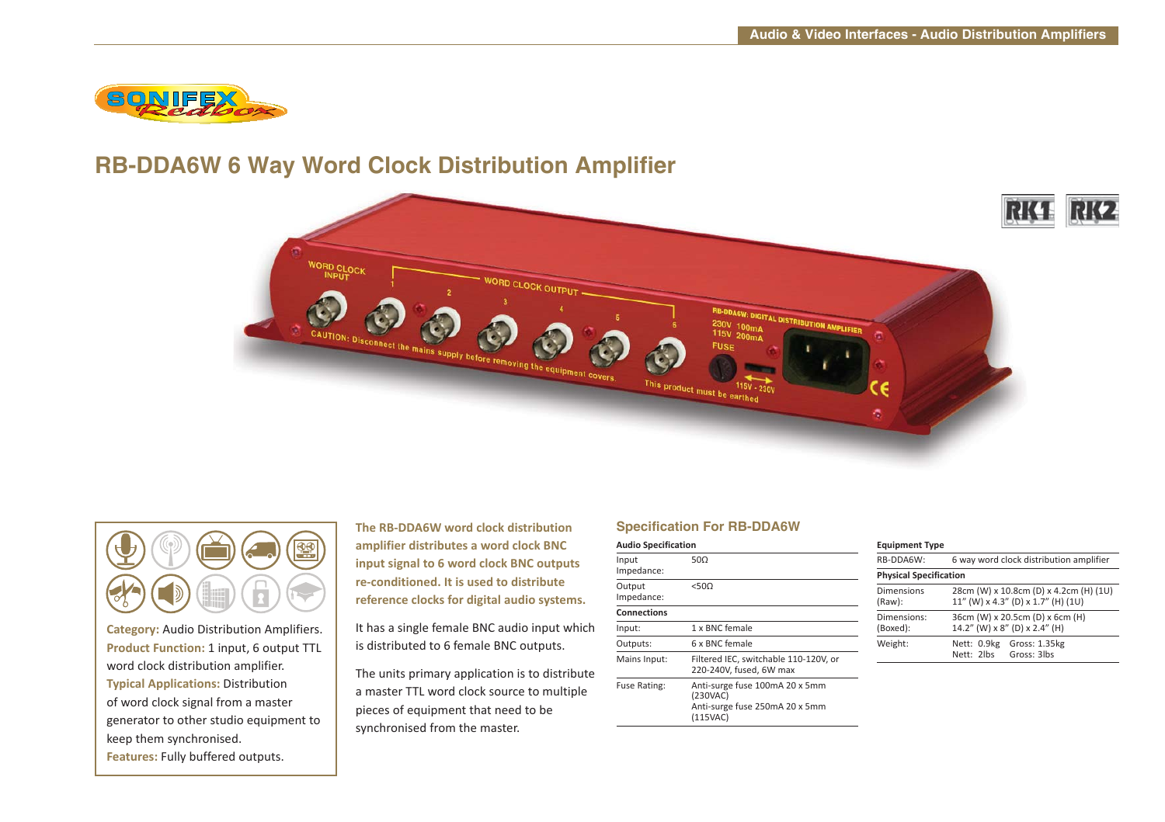

## **RB-DDA6W 6 Way Word Clock Distribution Amplifier**





**Category:** Audio Distribution Amplifiers. **Product Function:** 1 input, 6 output TTL word clock distribution amplifier. **Typical Applications:** Distribution of word clock signal from a master generator to other studio equipment to keep them synchronised. **Features:** Fully buffered outputs.

**The RB-DDA6W word clock distribution amplifier distributes a word clock BNC input signal to 6 word clock BNC outputs re-conditioned. It is used to distribute reference clocks for digital audio systems.**

It has a single female BNC audio input which is distributed to 6 female BNC outputs.

The units primary application is to distribute a master TTL word clock source to multiple pieces of equipment that need to be synchronised from the master.

### **Specification For RB-DDA6W**

| <b>Audio Specification</b> |                                                                                          |
|----------------------------|------------------------------------------------------------------------------------------|
| Input<br>Impedance:        | 500                                                                                      |
| Output<br>Impedance:       | < 500                                                                                    |
| <b>Connections</b>         |                                                                                          |
| Input:                     | 1 x BNC female                                                                           |
| Outputs:                   | 6 x BNC female                                                                           |
| Mains Input:               | Filtered IEC, switchable 110-120V, or<br>220-240V, fused, 6W max                         |
| Fuse Rating:               | Anti-surge fuse 100mA 20 x 5mm<br>(230VAC)<br>Anti-surge fuse 250mA 20 x 5mm<br>(115VAC) |

| <b>Equipment Type</b>                                                        |
|------------------------------------------------------------------------------|
| 6 way word clock distribution amplifier                                      |
| <b>Physical Specification</b>                                                |
| 28cm (W) x 10.8cm (D) x 4.2cm (H) (1U)<br>11" (W) x 4.3" (D) x 1.7" (H) (1U) |
| 36cm (W) x 20.5cm (D) x 6cm (H)<br>14.2" (W) x 8" (D) x 2.4" (H)             |
| Nett: 0.9kg<br>Gross: 1.35kg<br>Gross: 3lbs<br>Nett: 2lbs                    |
|                                                                              |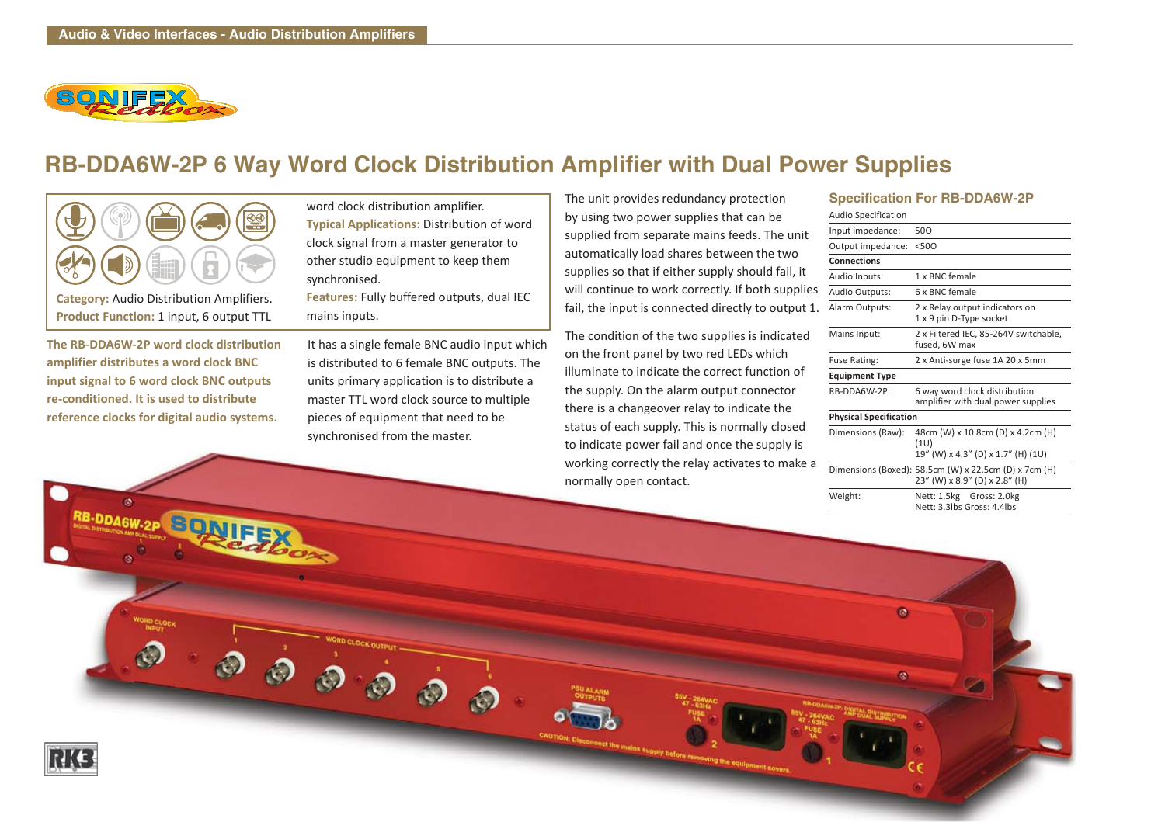

# **RB-DDA6W-2P 6 Way Word Clock Distribution Amplifier with Dual Power Supplies**



**Category:** Audio Distribution Amplifiers. **Product Function:** 1 input, 6 output TTL

**The RB-DDA6W-2P word clock distribution amplifier distributes a word clock BNC input signal to 6 word clock BNC outputs re-conditioned. It is used to distribute reference clocks for digital audio systems.**

RB-DDA6W-2P SONIFE

word clock distribution amplifier. **Typical Applications:** Distribution of word clock signal from a master generator to other studio equipment to keep them synchronised.

**Features:** Fully buffered outputs, dual IEC mains inputs.

It has a single female BNC audio input which is distributed to 6 female BNC outputs. The units primary application is to distribute a master TTL word clock source to multiple pieces of equipment that need to be synchronised from the master.

 $\bigcirc$ 

The unit provides redundancy protection by using two power supplies that can be supplied from separate mains feeds. The unit automatically load shares between the two supplies so that if either supply should fail, it will continue to work correctly. If both supplies fail, the input is connected directly to output 1.

The condition of the two supplies is indicated on the front panel by two red LEDs which illuminate to indicate the correct function of the supply. On the alarm output connector there is a changeover relay to indicate the status of each supply. This is normally closed to indicate power fail and once the supply is working correctly the relay activates to make a normally open contact.

#### **Specification For RB-DDA6W-2P**

| 500                                                                                    |
|----------------------------------------------------------------------------------------|
| < 500                                                                                  |
|                                                                                        |
| 1 x BNC female                                                                         |
| 6 x BNC female                                                                         |
| 2 x Relay output indicators on<br>1 x 9 pin D-Type socket                              |
| 2 x Filtered IEC, 85-264V switchable,<br>fused, 6W max                                 |
| 2 x Anti-surge fuse 1A 20 x 5mm                                                        |
|                                                                                        |
| 6 way word clock distribution<br>amplifier with dual power supplies                    |
| <b>Physical Specification</b>                                                          |
| 48cm (W) x 10.8cm (D) x 4.2cm (H)<br>(1U)<br>19" (W) x 4.3" (D) x 1.7" (H) (1U)        |
| Dimensions (Boxed): 58.5cm (W) x 22.5cm (D) x 7cm (H)<br>23" (W) x 8.9" (D) x 2.8" (H) |
| Nett: 1.5kg Gross: 2.0kg<br>Nett: 3.3lbs Gross: 4.4lbs                                 |
|                                                                                        |

 $\bullet$ 

 $\alpha$